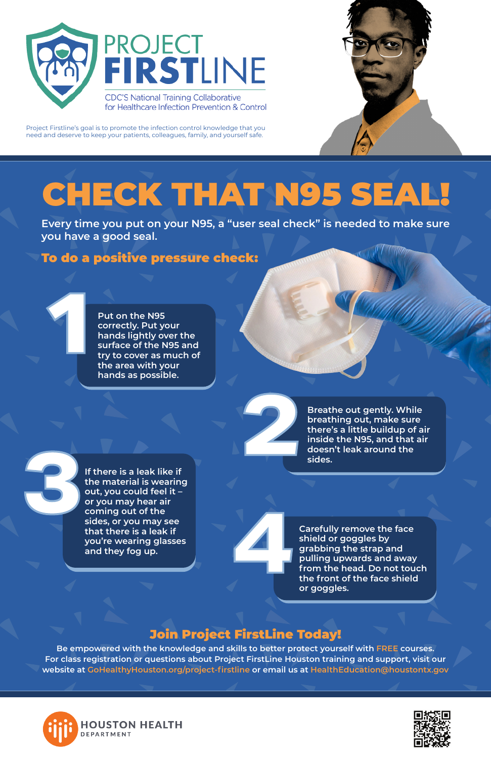# CHECK THAT N95 SEAL!





Project Firstline's goal is to promote the infection control knowledge that you need and deserve to keep your patients, colleagues, family, and yourself safe.

**Be empowered with the knowledge and skills to better protect yourself with FREE courses. For class registration or questions about Project FirstLine Houston training and support, visit our website at GoHealthyHouston.org/project-firstline or email us at HealthEducation@houstontx.gov**





**14 <b>Carefully remove the face**<br>shield or goggles by<br>grabbing the strap and<br>pulling upwards and away<br>from the head. Do not tou<br>the front of the face shield<br>or goggles **shield or goggles by grabbing the strap and pulling upwards and away from the head. Do not touch the front of the face shield or goggles.** 

### Join Project FirstLine Today!

**Every time you put on your N95, a "user seal check" is needed to make sure you have a good seal.** 

> **2 Breathe out gently. While breathing out, make sure there's a little buildup of a inside the N95, and that ai doesn't leak around the sides. breathing out, make sure there's a little buildup of air inside the N95, and that air doesn't leak around the**

## To do a positive pressure check:

**14** If there is a leak like if<br>the material is wearing<br>out, you could feel it –<br>or you may hear air<br>coming out of the<br>sides, or you may see **the material is wearing out, you could feel it – or you may hear air coming out of the sides, or you may see that there is a leak if you're wearing glasses and they fog up.** 

**Put on the N95 correctly. Put your hands lightly over the surface of the N95 and try to cover as much of the area with your 1 hands as possible.**